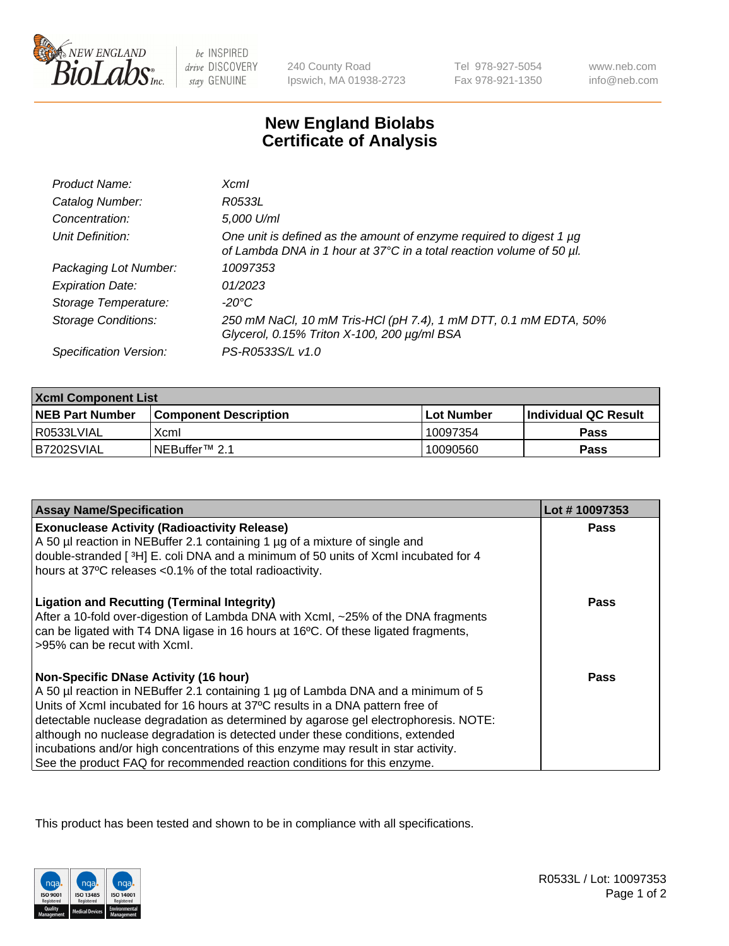

 $be$  INSPIRED drive DISCOVERY stay GENUINE

240 County Road Ipswich, MA 01938-2723 Tel 978-927-5054 Fax 978-921-1350

www.neb.com info@neb.com

## **New England Biolabs Certificate of Analysis**

| Product Name:              | <b>Xcml</b>                                                                                                                                 |
|----------------------------|---------------------------------------------------------------------------------------------------------------------------------------------|
| Catalog Number:            | R0533L                                                                                                                                      |
| Concentration:             | 5,000 U/ml                                                                                                                                  |
| Unit Definition:           | One unit is defined as the amount of enzyme required to digest 1 µg<br>of Lambda DNA in 1 hour at 37°C in a total reaction volume of 50 µl. |
| Packaging Lot Number:      | 10097353                                                                                                                                    |
| <b>Expiration Date:</b>    | 01/2023                                                                                                                                     |
| Storage Temperature:       | -20°C                                                                                                                                       |
| <b>Storage Conditions:</b> | 250 mM NaCl, 10 mM Tris-HCl (pH 7.4), 1 mM DTT, 0.1 mM EDTA, 50%<br>Glycerol, 0.15% Triton X-100, 200 µg/ml BSA                             |
| Specification Version:     | PS-R0533S/L v1.0                                                                                                                            |

| <b>Xcml Component List</b> |                              |                   |                       |  |
|----------------------------|------------------------------|-------------------|-----------------------|--|
| <b>NEB Part Number</b>     | <b>Component Description</b> | <b>Lot Number</b> | ∣Individual QC Result |  |
| R0533LVIAL                 | Xcml                         | 10097354          | <b>Pass</b>           |  |
| IB7202SVIAL                | NEBuffer <sup>™</sup> 2.1    | 10090560          | Pass                  |  |

| <b>Assay Name/Specification</b>                                                                                                                                                                                                                                                                                                                                                                                                                                                                                                                              | Lot #10097353 |
|--------------------------------------------------------------------------------------------------------------------------------------------------------------------------------------------------------------------------------------------------------------------------------------------------------------------------------------------------------------------------------------------------------------------------------------------------------------------------------------------------------------------------------------------------------------|---------------|
| <b>Exonuclease Activity (Radioactivity Release)</b><br>A 50 µl reaction in NEBuffer 2.1 containing 1 µg of a mixture of single and                                                                                                                                                                                                                                                                                                                                                                                                                           | Pass          |
| double-stranded [3H] E. coli DNA and a minimum of 50 units of Xcml incubated for 4<br>hours at 37°C releases <0.1% of the total radioactivity.                                                                                                                                                                                                                                                                                                                                                                                                               |               |
| <b>Ligation and Recutting (Terminal Integrity)</b><br>After a 10-fold over-digestion of Lambda DNA with Xcml, ~25% of the DNA fragments<br>can be ligated with T4 DNA ligase in 16 hours at 16°C. Of these ligated fragments,<br>>95% can be recut with Xcml.                                                                                                                                                                                                                                                                                                | <b>Pass</b>   |
| <b>Non-Specific DNase Activity (16 hour)</b><br>A 50 µl reaction in NEBuffer 2.1 containing 1 µg of Lambda DNA and a minimum of 5<br>Units of XcmI incubated for 16 hours at 37°C results in a DNA pattern free of<br>detectable nuclease degradation as determined by agarose gel electrophoresis. NOTE:<br>although no nuclease degradation is detected under these conditions, extended<br>incubations and/or high concentrations of this enzyme may result in star activity.<br>See the product FAQ for recommended reaction conditions for this enzyme. | Pass          |

This product has been tested and shown to be in compliance with all specifications.